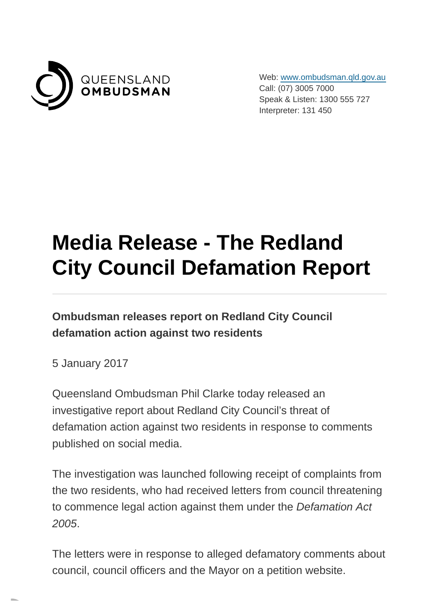

Web: [www.ombudsman.qld.gov.au](https://www.ombudsman.qld.gov.au/) Call: (07) 3005 7000 Speak & Listen: 1300 555 727 Interpreter: 131 450

## **Media Release - The Redland City Council Defamation Report**

**Ombudsman releases report on Redland City Council defamation action against two residents**

5 January 2017

Queensland Ombudsman Phil Clarke today released an investigative report about Redland City Council's threat of defamation action against two residents in response to comments published on social media.

The investigation was launched following receipt of complaints from the two residents, who had received letters from council threatening to commence legal action against them under the Defamation Act 2005.

The letters were in response to alleged defamatory comments about council, council officers and the Mayor on a petition website.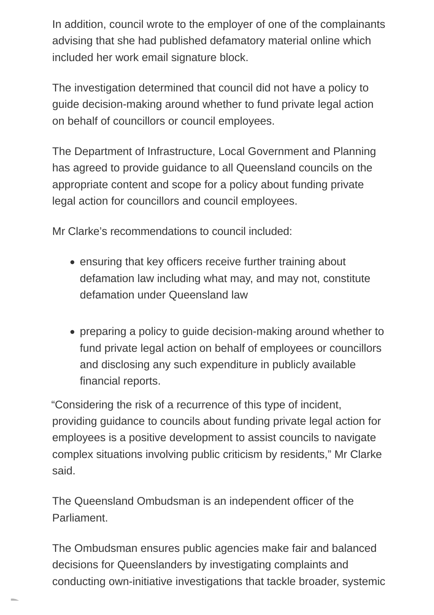In addition, council wrote to the employer of one of the complainants advising that she had published defamatory material online which included her work email signature block.

The investigation determined that council did not have a policy to guide decision-making around whether to fund private legal action on behalf of councillors or council employees.

The Department of Infrastructure, Local Government and Planning has agreed to provide guidance to all Queensland councils on the appropriate content and scope for a policy about funding private legal action for councillors and council employees.

Mr Clarke's recommendations to council included:

- ensuring that key officers receive further training about defamation law including what may, and may not, constitute defamation under Queensland law
- preparing a policy to guide decision-making around whether to fund private legal action on behalf of employees or councillors and disclosing any such expenditure in publicly available financial reports.

"Considering the risk of a recurrence of this type of incident, providing guidance to councils about funding private legal action for employees is a positive development to assist councils to navigate complex situations involving public criticism by residents," Mr Clarke said.

The Queensland Ombudsman is an independent officer of the Parliament.

The Ombudsman ensures public agencies make fair and balanced decisions for Queenslanders by investigating complaints and conducting own-initiative investigations that tackle broader, systemic